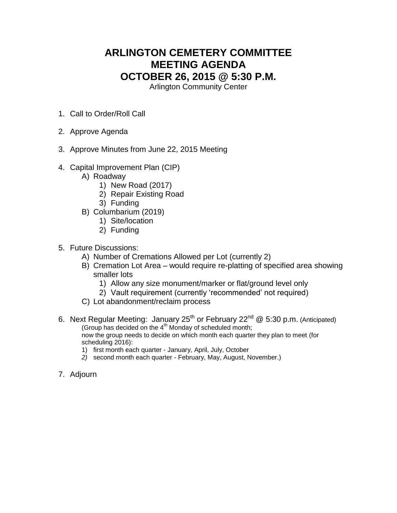# **ARLINGTON CEMETERY COMMITTEE MEETING AGENDA OCTOBER 26, 2015 @ 5:30 P.M.**

Arlington Community Center

- 1. Call to Order/Roll Call
- 2. Approve Agenda
- 3. Approve Minutes from June 22, 2015 Meeting
- 4. Capital Improvement Plan (CIP)
	- A) Roadway
		- 1) New Road (2017)
		- 2) Repair Existing Road
		- 3) Funding
	- B) Columbarium (2019)
		- 1) Site/location
		- 2) Funding
- 5. Future Discussions:
	- A) Number of Cremations Allowed per Lot (currently 2)
	- B) Cremation Lot Area would require re-platting of specified area showing smaller lots
		- 1) Allow any size monument/marker or flat/ground level only
		- 2) Vault requirement (currently 'recommended' not required)
	- C) Lot abandonment/reclaim process
- 6. Next Regular Meeting: January 25<sup>th</sup> or February 22<sup>nd</sup> @ 5:30 p.m. (Anticipated) (Group has decided on the  $4<sup>th</sup>$  Monday of scheduled month; now the group needs to decide on which month each quarter they plan to meet (for scheduling 2016):
	- 1) first month each quarter January, April, July, October
	- *2)* second month each quarter February, May, August, November.)
- 7. Adjourn